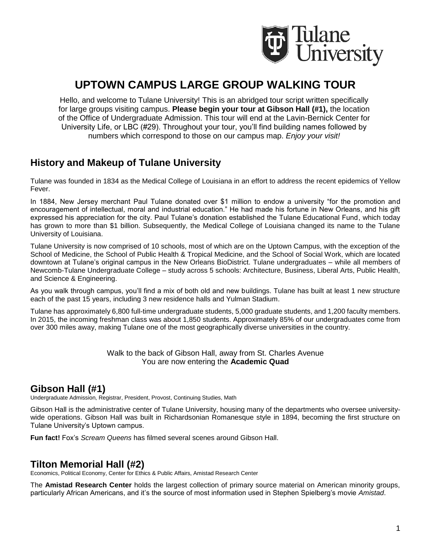

# **UPTOWN CAMPUS LARGE GROUP WALKING TOUR**

Hello, and welcome to Tulane University! This is an abridged tour script written specifically for large groups visiting campus. **Please begin your tour at Gibson Hall (#1),** the location of the Office of Undergraduate Admission. This tour will end at the Lavin-Bernick Center for University Life, or LBC (#29). Throughout your tour, you'll find building names followed by numbers which correspond to those on our campus map. *Enjoy your visit!*

# **History and Makeup of Tulane University**

Tulane was founded in 1834 as the Medical College of Louisiana in an effort to address the recent epidemics of Yellow Fever.

In 1884, New Jersey merchant Paul Tulane donated over \$1 million to endow a university "for the promotion and encouragement of intellectual, moral and industrial education." He had made his fortune in New Orleans, and his gift expressed his appreciation for the city. Paul Tulane's donation established the Tulane Educational Fund, which today has grown to more than \$1 billion. Subsequently, the Medical College of Louisiana changed its name to the Tulane University of Louisiana.

Tulane University is now comprised of 10 schools, most of which are on the Uptown Campus, with the exception of the School of Medicine, the School of Public Health & Tropical Medicine, and the School of Social Work, which are located downtown at Tulane's original campus in the New Orleans BioDistrict. Tulane undergraduates – while all members of Newcomb-Tulane Undergraduate College – study across 5 schools: Architecture, Business, Liberal Arts, Public Health, and Science & Engineering.

As you walk through campus, you'll find a mix of both old and new buildings. Tulane has built at least 1 new structure each of the past 15 years, including 3 new residence halls and Yulman Stadium.

Tulane has approximately 6,800 full-time undergraduate students, 5,000 graduate students, and 1,200 faculty members. In 2015, the incoming freshman class was about 1,850 students. Approximately 85% of our undergraduates come from over 300 miles away, making Tulane one of the most geographically diverse universities in the country.

> Walk to the back of Gibson Hall, away from St. Charles Avenue You are now entering the **Academic Quad**

# **Gibson Hall (#1)**

Undergraduate Admission, Registrar, President, Provost, Continuing Studies, Math

Gibson Hall is the administrative center of Tulane University, housing many of the departments who oversee universitywide operations. Gibson Hall was built in Richardsonian Romanesque style in 1894, becoming the first structure on Tulane University's Uptown campus.

**Fun fact!** Fox's *Scream Queens* has filmed several scenes around Gibson Hall.

#### **Tilton Memorial Hall (#2)**

Economics, Political Economy, Center for Ethics & Public Affairs, Amistad Research Center

The **Amistad Research Center** holds the largest collection of primary source material on American minority groups, particularly African Americans, and it's the source of most information used in Stephen Spielberg's movie *Amistad*.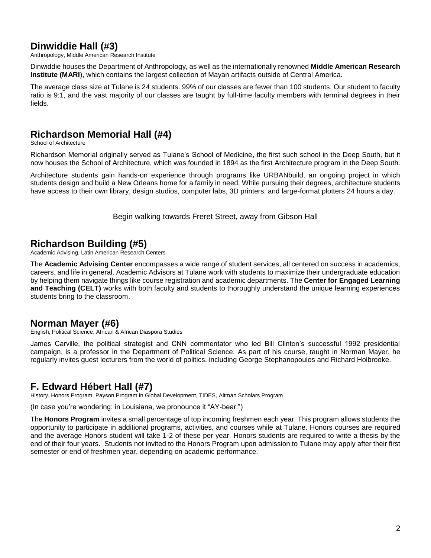# **Dinwiddie Hall (#3)**

Anthropology, Middle American Research Institute

Dinwiddie houses the Department of Anthropology, as well as the internationally renowned **Middle American Research Institute (MARI**), which contains the largest collection of Mayan artifacts outside of Central America.

The average class size at Tulane is 24 students. 99% of our classes are fewer than 100 students. Our student to faculty ratio is 9:1, and the vast majority of our classes are taught by full-time faculty members with terminal degrees in their fields.

## **Richardson Memorial Hall (#4)**

School of Architecture

Richardson Memorial originally served as Tulane's School of Medicine, the first such school in the Deep South, but it now houses the School of Architecture, which was founded in 1894 as the first Architecture program in the Deep South.

Architecture students gain hands-on experience through programs like URBANbuild, an ongoing project in which students design and build a New Orleans home for a family in need. While pursuing their degrees, architecture students have access to their own library, design studios, computer labs, 3D printers, and large-format plotters 24 hours a day.

Begin walking towards Freret Street, away from Gibson Hall

## **Richardson Building (#5)**

Academic Advising, Latin American Research Centers

The **Academic Advising Center** encompasses a wide range of student services, all centered on success in academics, careers, and life in general. Academic Advisors at Tulane work with students to maximize their undergraduate education by helping them navigate things like course registration and academic departments. The **Center for Engaged Learning and Teaching (CELT)** works with both faculty and students to thoroughly understand the unique learning experiences students bring to the classroom.

# **Norman Mayer (#6)**

English, Political Science, African & African Diaspora Studies

James Carville, the political strategist and CNN commentator who led Bill Clinton's successful 1992 presidential campaign, is a professor in the Department of Political Science. As part of his course, taught in Norman Mayer, he regularly invites guest lecturers from the world of politics, including George Stephanopoulos and Richard Holbrooke.

# **F. Edward Hébert Hall (#7)**

History, Honors Program, Payson Program in Global Development, TIDES, Altman Scholars Program

(In case you're wondering: in Louisiana, we pronounce it "AY-bear.")

The **Honors Program** invites a small percentage of top incoming freshmen each year. This program allows students the opportunity to participate in additional programs, activities, and courses while at Tulane. Honors courses are required and the average Honors student will take 1-2 of these per year. Honors students are required to write a thesis by the end of their four years. Students not invited to the Honors Program upon admission to Tulane may apply after their first semester or end of freshmen year, depending on academic performance.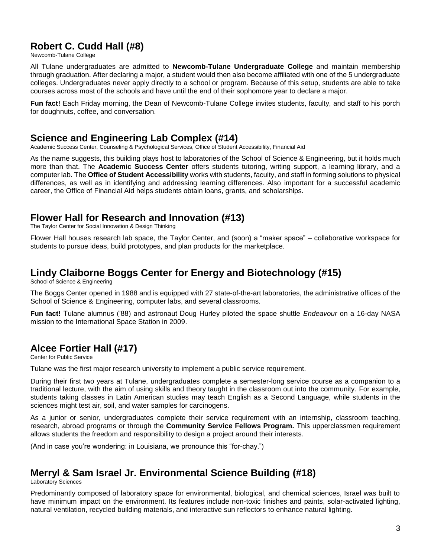# **Robert C. Cudd Hall (#8)**

Newcomb-Tulane College

All Tulane undergraduates are admitted to **Newcomb-Tulane Undergraduate College** and maintain membership through graduation. After declaring a major, a student would then also become affiliated with one of the 5 undergraduate colleges. Undergraduates never apply directly to a school or program. Because of this setup, students are able to take courses across most of the schools and have until the end of their sophomore year to declare a major.

**Fun fact!** Each Friday morning, the Dean of Newcomb-Tulane College invites students, faculty, and staff to his porch for doughnuts, coffee, and conversation.

#### **Science and Engineering Lab Complex (#14)**

Academic Success Center, Counseling & Psychological Services, Office of Student Accessibility, Financial Aid

As the name suggests, this building plays host to laboratories of the School of Science & Engineering, but it holds much more than that. The **Academic Success Center** offers students tutoring, writing support, a learning library, and a computer lab. The **Office of Student Accessibility** works with students, faculty, and staff in forming solutions to physical differences, as well as in identifying and addressing learning differences. Also important for a successful academic career, the Office of Financial Aid helps students obtain loans, grants, and scholarships.

### **Flower Hall for Research and Innovation (#13)**

The Taylor Center for Social Innovation & Design Thinking

Flower Hall houses research lab space, the Taylor Center, and (soon) a "maker space" – collaborative workspace for students to pursue ideas, build prototypes, and plan products for the marketplace.

# **Lindy Claiborne Boggs Center for Energy and Biotechnology (#15)**

School of Science & Engineering

The Boggs Center opened in 1988 and is equipped with 27 state-of-the-art laboratories, the administrative offices of the School of Science & Engineering, computer labs, and several classrooms.

**Fun fact!** Tulane alumnus ('88) and astronaut Doug Hurley piloted the space shuttle *Endeavour* on a 16-day NASA mission to the International Space Station in 2009.

# **Alcee Fortier Hall (#17)**

Center for Public Service

Tulane was the first major research university to implement a public service requirement.

During their first two years at Tulane, undergraduates complete a semester-long service course as a companion to a traditional lecture, with the aim of using skills and theory taught in the classroom out into the community. For example, students taking classes in Latin American studies may teach English as a Second Language, while students in the sciences might test air, soil, and water samples for carcinogens.

As a junior or senior, undergraduates complete their service requirement with an internship, classroom teaching, research, abroad programs or through the **Community Service Fellows Program.** This upperclassmen requirement allows students the freedom and responsibility to design a project around their interests.

(And in case you're wondering: in Louisiana, we pronounce this "for-chay.")

# **Merryl & Sam Israel Jr. Environmental Science Building (#18)**

Laboratory Sciences

Predominantly composed of laboratory space for environmental, biological, and chemical sciences, Israel was built to have minimum impact on the environment. Its features include non-toxic finishes and paints, solar-activated lighting, natural ventilation, recycled building materials, and interactive sun reflectors to enhance natural lighting.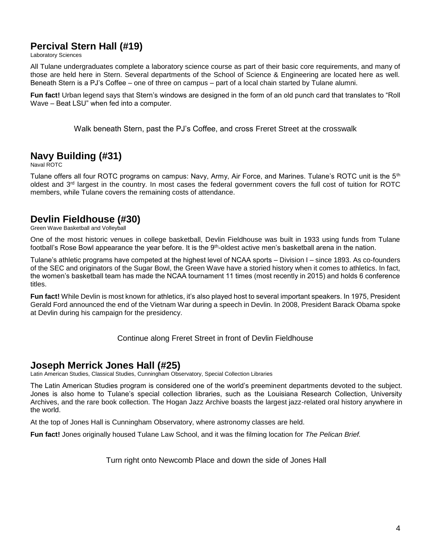## **Percival Stern Hall (#19)**

Laboratory Sciences

All Tulane undergraduates complete a laboratory science course as part of their basic core requirements, and many of those are held here in Stern. Several departments of the School of Science & Engineering are located here as well. Beneath Stern is a PJ's Coffee – one of three on campus – part of a local chain started by Tulane alumni.

**Fun fact!** Urban legend says that Stern's windows are designed in the form of an old punch card that translates to "Roll Wave – Beat LSU" when fed into a computer.

Walk beneath Stern, past the PJ's Coffee, and cross Freret Street at the crosswalk

# **Navy Building (#31)**

Naval ROTC

Tulane offers all four ROTC programs on campus: Navy, Army, Air Force, and Marines. Tulane's ROTC unit is the 5<sup>th</sup> oldest and 3<sup>rd</sup> largest in the country. In most cases the federal government covers the full cost of tuition for ROTC members, while Tulane covers the remaining costs of attendance.

#### **Devlin Fieldhouse (#30)**

Green Wave Basketball and Volleyball

One of the most historic venues in college basketball, Devlin Fieldhouse was built in 1933 using funds from Tulane football's Rose Bowl appearance the year before. It is the 9<sup>th</sup>-oldest active men's basketball arena in the nation.

Tulane's athletic programs have competed at the highest level of NCAA sports – Division I – since 1893. As co-founders of the SEC and originators of the Sugar Bowl, the Green Wave have a storied history when it comes to athletics. In fact, the women's basketball team has made the NCAA tournament 11 times (most recently in 2015) and holds 6 conference titles.

**Fun fact!** While Devlin is most known for athletics, it's also played host to several important speakers. In 1975, President Gerald Ford announced the end of the Vietnam War during a speech in Devlin. In 2008, President Barack Obama spoke at Devlin during his campaign for the presidency.

#### Continue along Freret Street in front of Devlin Fieldhouse

#### **Joseph Merrick Jones Hall (#25)**

Latin American Studies, Classical Studies, Cunningham Observatory, Special Collection Libraries

The Latin American Studies program is considered one of the world's preeminent departments devoted to the subject. Jones is also home to Tulane's special collection libraries, such as the Louisiana Research Collection, University Archives, and the rare book collection. The Hogan Jazz Archive boasts the largest jazz-related oral history anywhere in the world.

At the top of Jones Hall is Cunningham Observatory, where astronomy classes are held.

**Fun fact!** Jones originally housed Tulane Law School, and it was the filming location for *The Pelican Brief.*

Turn right onto Newcomb Place and down the side of Jones Hall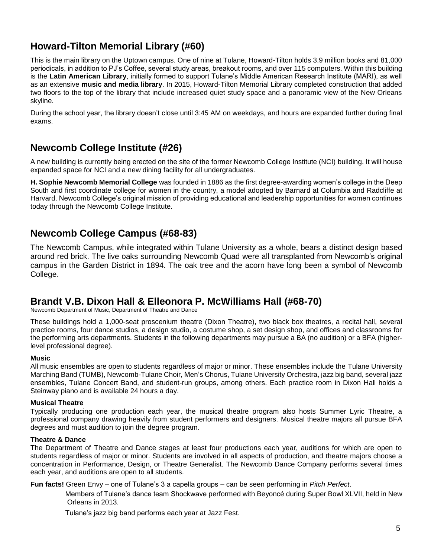# **Howard-Tilton Memorial Library (#60)**

This is the main library on the Uptown campus. One of nine at Tulane, Howard-Tilton holds 3.9 million books and 81,000 periodicals, in addition to PJ's Coffee, several study areas, breakout rooms, and over 115 computers. Within this building is the **Latin American Library**, initially formed to support Tulane's Middle American Research Institute (MARI), as well as an extensive **music and media library**. In 2015, Howard-Tilton Memorial Library completed construction that added two floors to the top of the library that include increased quiet study space and a panoramic view of the New Orleans skyline.

During the school year, the library doesn't close until 3:45 AM on weekdays, and hours are expanded further during final exams.

# **Newcomb College Institute (#26)**

A new building is currently being erected on the site of the former Newcomb College Institute (NCI) building. It will house expanded space for NCI and a new dining facility for all undergraduates.

**H. Sophie Newcomb Memorial College** was founded in 1886 as the first degree-awarding women's college in the Deep South and first coordinate college for women in the country, a model adopted by Barnard at Columbia and Radcliffe at Harvard. Newcomb College's original mission of providing educational and leadership opportunities for women continues today through the Newcomb College Institute.

# **Newcomb College Campus (#68-83)**

The Newcomb Campus, while integrated within Tulane University as a whole, bears a distinct design based around red brick. The live oaks surrounding Newcomb Quad were all transplanted from Newcomb's original campus in the Garden District in 1894. The oak tree and the acorn have long been a symbol of Newcomb College.

### **Brandt V.B. Dixon Hall & Elleonora P. McWilliams Hall (#68-70)**

Newcomb Department of Music, Department of Theatre and Dance

These buildings hold a 1,000-seat proscenium theatre (Dixon Theatre), two black box theatres, a recital hall, several practice rooms, four dance studios, a design studio, a costume shop, a set design shop, and offices and classrooms for the performing arts departments. Students in the following departments may pursue a BA (no audition) or a BFA (higherlevel professional degree).

#### **Music**

All music ensembles are open to students regardless of major or minor. These ensembles include the Tulane University Marching Band (TUMB), Newcomb-Tulane Choir, Men's Chorus, Tulane University Orchestra, jazz big band, several jazz ensembles, Tulane Concert Band, and student-run groups, among others. Each practice room in Dixon Hall holds a Steinway piano and is available 24 hours a day.

#### **Musical Theatre**

Typically producing one production each year, the musical theatre program also hosts Summer Lyric Theatre, a professional company drawing heavily from student performers and designers. Musical theatre majors all pursue BFA degrees and must audition to join the degree program.

#### **Theatre & Dance**

The Department of Theatre and Dance stages at least four productions each year, auditions for which are open to students regardless of major or minor. Students are involved in all aspects of production, and theatre majors choose a concentration in Performance, Design, or Theatre Generalist. The Newcomb Dance Company performs several times each year, and auditions are open to all students.

**Fun facts!** Green Envy – one of Tulane's 3 a capella groups – can be seen performing in *Pitch Perfect*.

Members of Tulane's dance team Shockwave performed with Beyoncé during Super Bowl XLVII, held in New Orleans in 2013.

Tulane's jazz big band performs each year at Jazz Fest.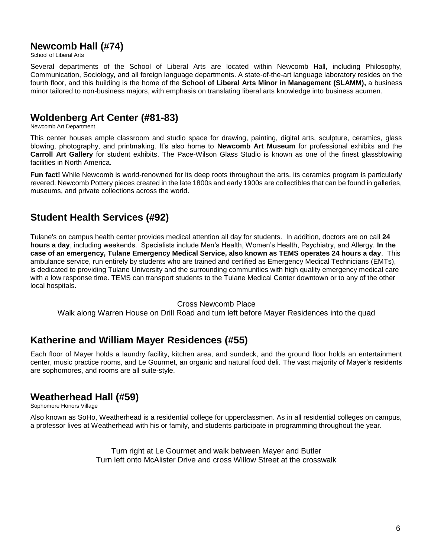## **Newcomb Hall (#74)**

School of Liberal Arts

Several departments of the School of Liberal Arts are located within Newcomb Hall, including Philosophy, Communication, Sociology, and all foreign language departments. A state-of-the-art language laboratory resides on the fourth floor, and this building is the home of the **School of Liberal Arts Minor in Management (SLAMM),** a business minor tailored to non-business majors, with emphasis on translating liberal arts knowledge into business acumen.

### **Woldenberg Art Center (#81-83)**

Newcomb Art Department

This center houses ample classroom and studio space for drawing, painting, digital arts, sculpture, ceramics, glass blowing, photography, and printmaking. It's also home to **Newcomb Art Museum** for professional exhibits and the **Carroll Art Gallery** for student exhibits. The Pace-Wilson Glass Studio is known as one of the finest glassblowing facilities in North America.

**Fun fact!** While Newcomb is world-renowned for its deep roots throughout the arts, its ceramics program is particularly revered. Newcomb Pottery pieces created in the late 1800s and early 1900s are collectibles that can be found in galleries, museums, and private collections across the world.

# **Student Health Services (#92)**

Tulane's on campus health center provides medical attention all day for students. In addition, doctors are on call **24 hours a day**, including weekends. Specialists include Men's Health, Women's Health, Psychiatry, and Allergy. **In the case of an emergency, Tulane Emergency Medical Service, also known as TEMS operates 24 hours a day**. This ambulance service, run entirely by students who are trained and certified as Emergency Medical Technicians (EMTs), is dedicated to providing Tulane University and the surrounding communities with high quality emergency medical care with a low response time. TEMS can transport students to the Tulane Medical Center downtown or to any of the other local hospitals.

#### Cross Newcomb Place

Walk along Warren House on Drill Road and turn left before Mayer Residences into the quad

# **Katherine and William Mayer Residences (#55)**

Each floor of Mayer holds a laundry facility, kitchen area, and sundeck, and the ground floor holds an entertainment center, music practice rooms, and Le Gourmet, an organic and natural food deli. The vast majority of Mayer's residents are sophomores, and rooms are all suite-style.

### **Weatherhead Hall (#59)**

Sophomore Honors Village

Also known as SoHo, Weatherhead is a residential college for upperclassmen. As in all residential colleges on campus, a professor lives at Weatherhead with his or family, and students participate in programming throughout the year.

> Turn right at Le Gourmet and walk between Mayer and Butler Turn left onto McAlister Drive and cross Willow Street at the crosswalk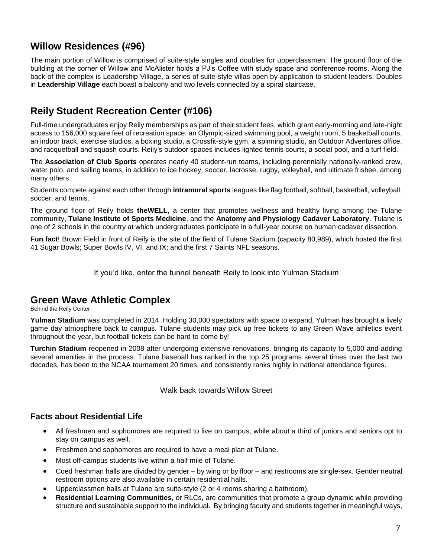# **Willow Residences (#96)**

The main portion of Willow is comprised of suite-style singles and doubles for upperclassmen. The ground floor of the building at the corner of Willow and McAlister holds a PJ's Coffee with study space and conference rooms. Along the back of the complex is Leadership Village, a series of suite-style villas open by application to student leaders. Doubles in **Leadership Village** each boast a balcony and two levels connected by a spiral staircase.

# **Reily Student Recreation Center (#106)**

Full-time undergraduates enjoy Reily memberships as part of their student fees, which grant early-morning and late-night access to 156,000 square feet of recreation space: an Olympic-sized swimming pool, a weight room, 5 basketball courts, an indoor track, exercise studios, a boxing studio, a Crossfit-style gym, a spinning studio, an Outdoor Adventures office, and racquetball and squash courts. Reily's outdoor spaces includes lighted tennis courts, a social pool, and a turf field.

The **Association of Club Sports** operates nearly 40 student-run teams, including perennially nationally-ranked crew, water polo, and sailing teams, in addition to ice hockey, soccer, lacrosse, rugby, volleyball, and ultimate frisbee, among many others.

Students compete against each other through **intramural sports** leagues like flag football, softball, basketball, volleyball, soccer, and tennis.

The ground floor of Reily holds **theWELL**, a center that promotes wellness and healthy living among the Tulane community, **Tulane Institute of Sports Medicine**, and the **Anatomy and Physiology Cadaver Laboratory**. Tulane is one of 2 schools in the country at which undergraduates participate in a full-year course on human cadaver dissection.

**Fun fact**! Brown Field in front of Reily is the site of the field of Tulane Stadium (capacity 80,989), which hosted the first 41 Sugar Bowls; Super Bowls IV, VI, and IX; and the first 7 Saints NFL seasons.

If you'd like, enter the tunnel beneath Reily to look into Yulman Stadium

# **Green Wave Athletic Complex**

Behind the Reily Center

**Yulman Stadium** was completed in 2014. Holding 30,000 spectators with space to expand, Yulman has brought a lively game day atmosphere back to campus. Tulane students may pick up free tickets to any Green Wave athletics event throughout the year, but football tickets can be hard to come by!

**Turchin Stadium** reopened in 2008 after undergoing extensive renovations, bringing its capacity to 5,000 and adding several amenities in the process. Tulane baseball has ranked in the top 25 programs several times over the last two decades, has been to the NCAA tournament 20 times, and consistently ranks highly in national attendance figures.

Walk back towards Willow Street

#### **Facts about Residential Life**

- All freshmen and sophomores are required to live on campus, while about a third of juniors and seniors opt to stay on campus as well.
- Freshmen and sophomores are required to have a meal plan at Tulane.
- Most off-campus students live within a half mile of Tulane.
- Coed freshman halls are divided by gender by wing or by floor and restrooms are single-sex. Gender neutral restroom options are also available in certain residential halls.
- Upperclassmen halls at Tulane are suite-style (2 or 4 rooms sharing a bathroom).
- **Residential Learning Communities**, or RLCs, are communities that promote a group dynamic while providing structure and sustainable support to the individual. By bringing faculty and students together in meaningful ways,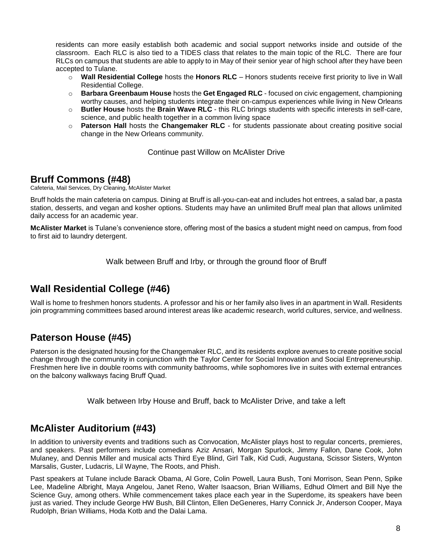residents can more easily establish both academic and social support networks inside and outside of the classroom. Each RLC is also tied to a TIDES class that relates to the main topic of the RLC. There are four RLCs on campus that students are able to apply to in May of their senior year of high school after they have been accepted to Tulane.

- o **Wall Residential College** hosts the **Honors RLC** Honors students receive first priority to live in Wall Residential College.
- o **Barbara Greenbaum House** hosts the **Get Engaged RLC** focused on civic engagement, championing worthy causes, and helping students integrate their on-campus experiences while living in New Orleans
- o **Butler House** hosts the **Brain Wave RLC** this RLC brings students with specific interests in self-care, science, and public health together in a common living space
- o **Paterson Hall** hosts the **Changemaker RLC** for students passionate about creating positive social change in the New Orleans community.

Continue past Willow on McAlister Drive

# **Bruff Commons (#48)**

Cafeteria, Mail Services, Dry Cleaning, McAlister Market

Bruff holds the main cafeteria on campus. Dining at Bruff is all-you-can-eat and includes hot entrees, a salad bar, a pasta station, desserts, and vegan and kosher options. Students may have an unlimited Bruff meal plan that allows unlimited daily access for an academic year.

**McAlister Market** is Tulane's convenience store, offering most of the basics a student might need on campus, from food to first aid to laundry detergent.

Walk between Bruff and Irby, or through the ground floor of Bruff

# **Wall Residential College (#46)**

Wall is home to freshmen honors students. A professor and his or her family also lives in an apartment in Wall. Residents join programming committees based around interest areas like academic research, world cultures, service, and wellness.

# **Paterson House (#45)**

Paterson is the designated housing for the Changemaker RLC, and its residents explore avenues to create positive social change through the community in conjunction with the Taylor Center for Social Innovation and Social Entrepreneurship. Freshmen here live in double rooms with community bathrooms, while sophomores live in suites with external entrances on the balcony walkways facing Bruff Quad.

Walk between Irby House and Bruff, back to McAlister Drive, and take a left

### **McAlister Auditorium (#43)**

In addition to university events and traditions such as Convocation, McAlister plays host to regular concerts, premieres, and speakers. Past performers include comedians Aziz Ansari, Morgan Spurlock, Jimmy Fallon, Dane Cook, John Mulaney, and Dennis Miller and musical acts Third Eye Blind, Girl Talk, Kid Cudi, Augustana, Scissor Sisters, Wynton Marsalis, Guster, Ludacris, Lil Wayne, The Roots, and Phish.

Past speakers at Tulane include Barack Obama, Al Gore, Colin Powell, Laura Bush, Toni Morrison, Sean Penn, Spike Lee, Madeline Albright, Maya Angelou, Janet Reno, Walter Isaacson, Brian Williams, Edhud Olmert and Bill Nye the Science Guy, among others. While commencement takes place each year in the Superdome, its speakers have been just as varied. They include George HW Bush, Bill Clinton, Ellen DeGeneres, Harry Connick Jr, Anderson Cooper, Maya Rudolph, Brian Williams, Hoda Kotb and the Dalai Lama.